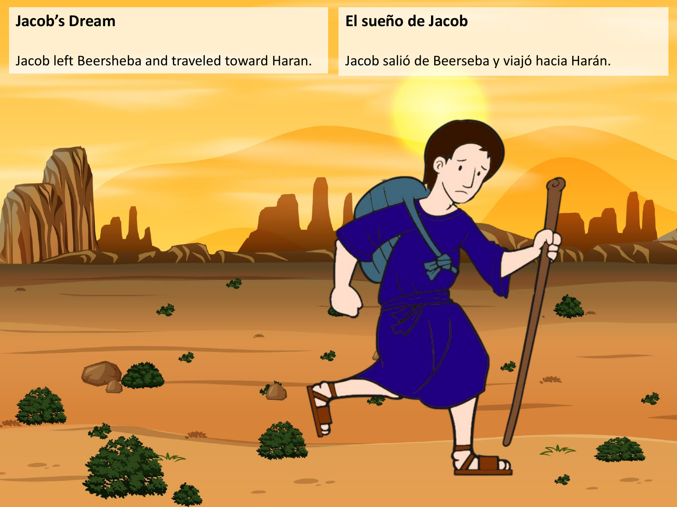## **Jacob's Dream**

Jacob left Beersheba and traveled toward Haran.

## **El sueño de Jacob**

Jacob salió de Beerseba y viajó hacia Harán.

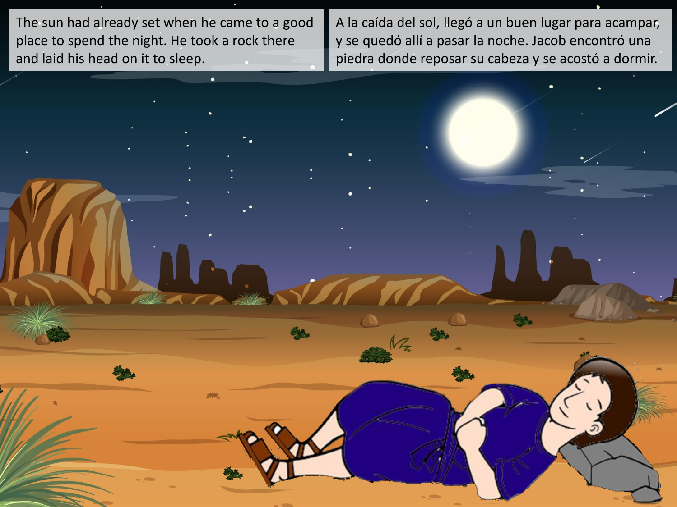The sun had already set when he came to a good place to spend the night. He took a rock there and laid his head on it to sleep.

洲叫

A la caída del sol, llegó a un buen lugar para acampar, y se quedó allí a pasar la noche. Jacob encontró una piedra donde reposar su cabeza y se acostó a dormir.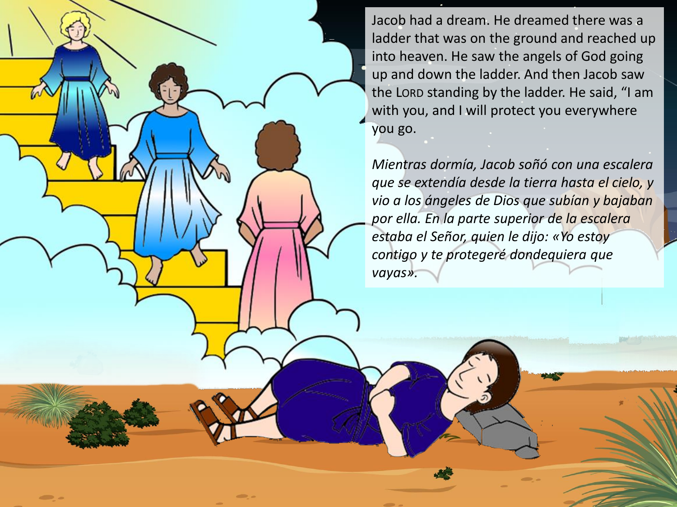Jacob had a dream. He dreamed there was a ladder that was on the ground and reached up into heaven. He saw the angels of God going up and down the ladder. And then Jacob saw the LORD standing by the ladder. He said, "I am with you, and I will protect you everywhere you go.

*Mientras dormía, Jacob soñó con una escalera que se extendía desde la tierra hasta el cielo, y vio a los ángeles de Dios que subían y bajaban por ella. En la parte superior de la escalera estaba el Señor, quien le dijo: «Yo estoy contigo y te protegeré dondequiera que vayas».*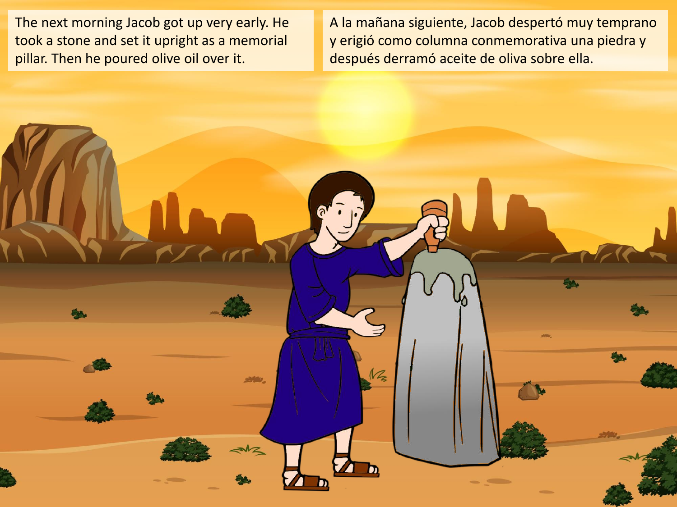The next morning Jacob got up very early. He took a stone and set it upright as a memorial pillar. Then he poured olive oil over it.

A la mañana siguiente, Jacob despertó muy temprano y erigió como columna conmemorativa una piedra y después derramó aceite de oliva sobre ella.

 $M_{2}$ 

**SHOW**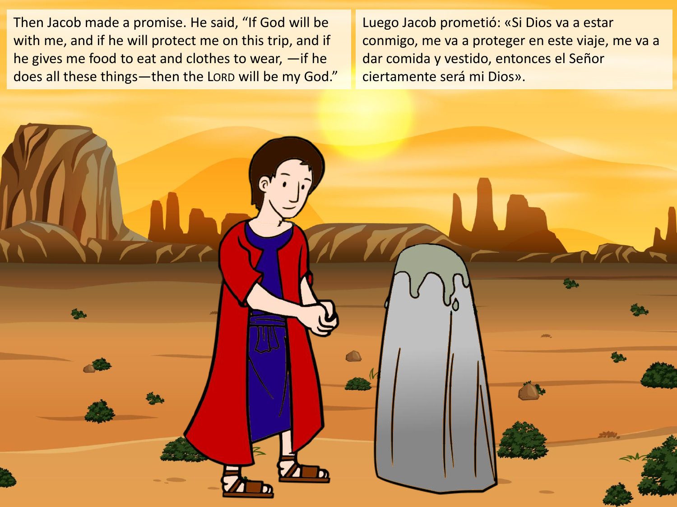Then Jacob made a promise. He said, "If God will be with me, and if he will protect me on this trip, and if he gives me food to eat and clothes to wear, —if he does all these things—then the LORD will be my God." Luego Jacob prometió: «Si Dios va a estar conmigo, me va a proteger en este viaje, me va a dar comida y vestido, entonces el Señor ciertamente será mi Dios».